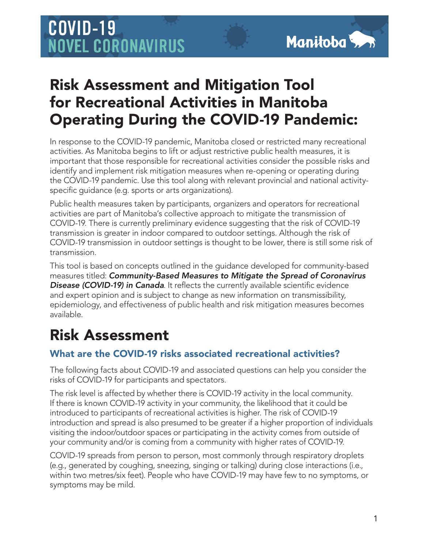# COVID-19 **NOVEL CORONAVIRUS**

### Risk Assessment and Mitigation Tool for Recreational Activities in Manitoba Operating During the COVID-19 Pandemic:

In response to the COVID-19 pandemic, Manitoba closed or restricted many recreational activities. As Manitoba begins to lift or adjust restrictive public health measures, it is important that those responsible for recreational activities consider the possible risks and identify and implement risk mitigation measures when re-opening or operating during the COVID-19 pandemic. Use this tool along with relevant provincial and national activityspecific guidance (e.g. sports or arts organizations).

Public health measures taken by participants, organizers and operators for recreational activities are part of Manitoba's collective approach to mitigate the transmission of COVID-19. There is currently preliminary evidence suggesting that the risk of COVID-19 transmission is greater in indoor compared to outdoor settings. Although the risk of COVID-19 transmission in outdoor settings is thought to be lower, there is still some risk of transmission.

This tool is based on concepts outlined in the guidance developed for community-based measures titled: *Community-Based Measures to Mitigate the Spread of Coronavirus*  **Disease (COVID-19) in Canada**. It reflects the currently available scientific evidence and expert opinion and is subject to change as new information on transmissibility, epidemiology, and effectiveness of public health and risk mitigation measures becomes available.

## Risk Assessment

### What are the COVID-19 risks associated recreational activities?

The following facts about COVID-19 and associated questions can help you consider the risks of COVID-19 for participants and spectators.

The risk level is affected by whether there is COVID-19 activity in the local community. If there is known COVID-19 activity in your community, the likelihood that it could be introduced to participants of recreational activities is higher. The risk of COVID-19 introduction and spread is also presumed to be greater if a higher proportion of individuals visiting the indoor/outdoor spaces or participating in the activity comes from outside of your community and/or is coming from a community with higher rates of COVID-19.

COVID-19 spreads from person to person, most commonly through respiratory droplets (e.g., generated by coughing, sneezing, singing or talking) during close interactions (i.e., within two metres/six feet). People who have COVID-19 may have few to no symptoms, or symptoms may be mild.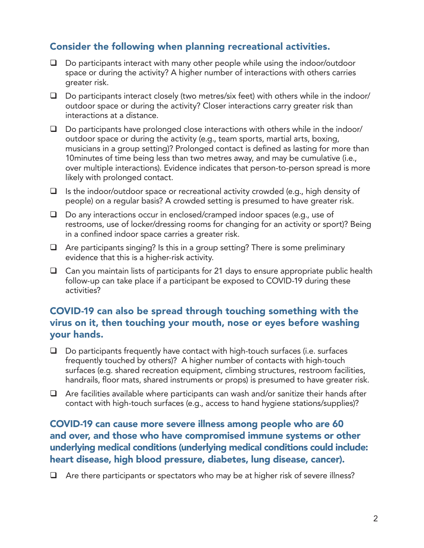#### Consider the following when planning recreational activities.

- $\Box$  Do participants interact with many other people while using the indoor/outdoor space or during the activity? A higher number of interactions with others carries greater risk.
- $\Box$  Do participants interact closely (two metres/six feet) with others while in the indoor/ outdoor space or during the activity? Closer interactions carry greater risk than interactions at a distance.
- $\Box$  Do participants have prolonged close interactions with others while in the indoor/ outdoor space or during the activity (e.g., team sports, martial arts, boxing, musicians in a group setting)? Prolonged contact is defined as lasting for more than 10minutes of time being less than two metres away, and may be cumulative (i.e., over multiple interactions). Evidence indicates that person-to-person spread is more likely with prolonged contact.
- $\Box$  Is the indoor/outdoor space or recreational activity crowded (e.g., high density of people) on a regular basis? A crowded setting is presumed to have greater risk.
- $\Box$  Do any interactions occur in enclosed/cramped indoor spaces (e.g., use of restrooms, use of locker/dressing rooms for changing for an activity or sport)? Being in a confined indoor space carries a greater risk.
- $\Box$  Are participants singing? Is this in a group setting? There is some preliminary evidence that this is a higher-risk activity.
- $\Box$  Can you maintain lists of participants for 21 days to ensure appropriate public health follow-up can take place if a participant be exposed to COVID-19 during these activities?

#### COVID-19 can also be spread through touching something with the virus on it, then touching your mouth, nose or eyes before washing your hands.

- $\Box$  Do participants frequently have contact with high-touch surfaces (i.e. surfaces frequently touched by others)? A higher number of contacts with high-touch surfaces (e.g. shared recreation equipment, climbing structures, restroom facilities, handrails, floor mats, shared instruments or props) is presumed to have greater risk.
- $\Box$  Are facilities available where participants can wash and/or sanitize their hands after contact with high-touch surfaces (e.g., access to hand hygiene stations/supplies)?

#### COVID-19 can cause more severe illness among people who are 60 and over, and those who have compromised immune systems or other underlying medical conditions (underlying medical conditions could include: heart disease, high blood pressure, diabetes, lung disease, cancer).

 $\Box$  Are there participants or spectators who may be at higher risk of severe illness?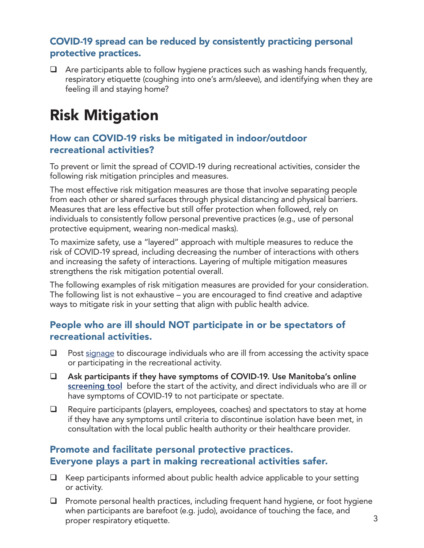#### COVID-19 spread can be reduced by consistently practicing personal protective practices.

 $\Box$  Are participants able to follow hygiene practices such as washing hands frequently, respiratory etiquette (coughing into one's arm/sleeve), and identifying when they are feeling ill and staying home?

## Risk Mitigation

#### How can COVID-19 risks be mitigated in indoor/outdoor recreational activities?

To prevent or limit the spread of COVID-19 during recreational activities, consider the following risk mitigation principles and measures.

The most effective risk mitigation measures are those that involve separating people from each other or shared surfaces through physical distancing and physical barriers. Measures that are less effective but still offer protection when followed, rely on individuals to consistently follow personal preventive practices (e.g., use of personal protective equipment, wearing non-medical masks).

To maximize safety, use a "layered" approach with multiple measures to reduce the risk of COVID-19 spread, including decreasing the number of interactions with others and increasing the safety of interactions. Layering of multiple mitigation measures strengthens the risk mitigation potential overall.

The following examples of risk mitigation measures are provided for your consideration. The following list is not exhaustive – you are encouraged to find creative and adaptive ways to mitigate risk in your setting that align with public health advice.

#### People who are ill should NOT participate in or be spectators of recreational activities.

- $\Box$  Post [signage](https://www.gov.mb.ca/asset_library/en/coronavirus/COVID-19-poster-1.pdf) to discourage individuals who are ill from accessing the activity space or participating in the recreational activity.
- Ask participants if they have symptoms of COVID-19. Use Manitoba's online [screening tool](https://sharedhealthmb.ca/covid19/screening-tool/) before the start of the activity, and direct individuals who are ill or have symptoms of COVID-19 to not participate or spectate.
- $\Box$  Require participants (players, employees, coaches) and spectators to stay at home if they have any symptoms until criteria to discontinue isolation have been met, in consultation with the local public health authority or their healthcare provider.

#### Promote and facilitate personal protective practices. Everyone plays a part in making recreational activities safer.

- $\Box$  Keep participants informed about public health advice applicable to your setting or activity.
- $\Box$  Promote personal health practices, including frequent hand hygiene, or foot hygiene when participants are barefoot (e.g. judo), avoidance of touching the face, and proper respiratory etiquette.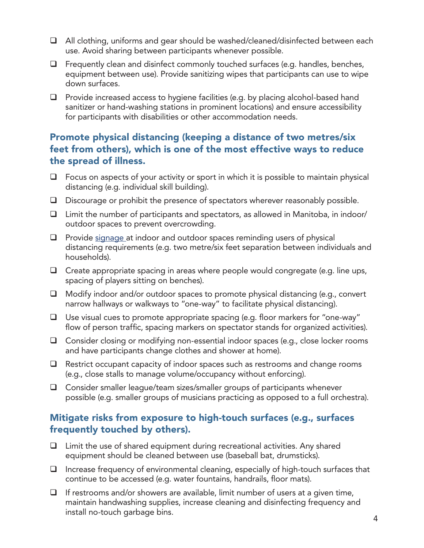- $\Box$  All clothing, uniforms and gear should be washed/cleaned/disinfected between each use. Avoid sharing between participants whenever possible.
- $\Box$  Frequently clean and disinfect commonly touched surfaces (e.g. handles, benches, equipment between use). Provide sanitizing wipes that participants can use to wipe down surfaces.
- $\Box$  Provide increased access to hygiene facilities (e.g. by placing alcohol-based hand sanitizer or hand-washing stations in prominent locations) and ensure accessibility for participants with disabilities or other accommodation needs.

#### Promote physical distancing (keeping a distance of two metres/six feet from others), which is one of the most effective ways to reduce the spread of illness.

- $\Box$  Focus on aspects of your activity or sport in which it is possible to maintain physical distancing (e.g. individual skill building).
- Discourage or prohibit the presence of spectators wherever reasonably possible.
- $\Box$  Limit the number of participants and spectators, as allowed in Manitoba, in indoor/ outdoor spaces to prevent overcrowding.
- $\Box$  Provide [signage](https://manitoba.ca/asset_library/en/coronavirus/socialdistancinginfographic.pdf) at indoor and outdoor spaces reminding users of physical distancing requirements (e.g. two metre/six feet separation between individuals and households).
- $\Box$  Create appropriate spacing in areas where people would congregate (e.g. line ups, spacing of players sitting on benches).
- $\Box$  Modify indoor and/or outdoor spaces to promote physical distancing (e.g., convert narrow hallways or walkways to "one-way" to facilitate physical distancing).
- Use visual cues to promote appropriate spacing (e.g. floor markers for "one-way" flow of person traffic, spacing markers on spectator stands for organized activities).
- □ Consider closing or modifying non-essential indoor spaces (e.g., close locker rooms and have participants change clothes and shower at home).
- $\Box$  Restrict occupant capacity of indoor spaces such as restrooms and change rooms (e.g., close stalls to manage volume/occupancy without enforcing).
- $\Box$  Consider smaller league/team sizes/smaller groups of participants whenever possible (e.g. smaller groups of musicians practicing as opposed to a full orchestra).

#### Mitigate risks from exposure to high-touch surfaces (e.g., surfaces frequently touched by others).

- $\Box$  Limit the use of shared equipment during recreational activities. Any shared equipment should be cleaned between use (baseball bat, drumsticks).
- $\Box$  Increase frequency of environmental cleaning, especially of high-touch surfaces that continue to be accessed (e.g. water fountains, handrails, floor mats).
- $\Box$  If restrooms and/or showers are available, limit number of users at a given time, maintain handwashing supplies, increase cleaning and disinfecting frequency and install no-touch garbage bins.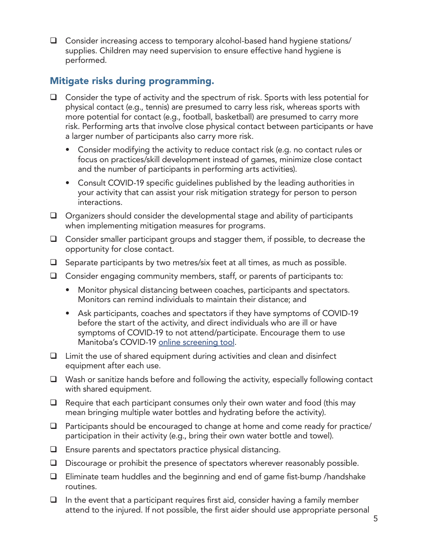$\Box$  Consider increasing access to temporary alcohol-based hand hygiene stations/ supplies. Children may need supervision to ensure effective hand hygiene is performed.

#### Mitigate risks during programming.

- $\Box$  Consider the type of activity and the spectrum of risk. Sports with less potential for physical contact (e.g., tennis) are presumed to carry less risk, whereas sports with more potential for contact (e.g., football, basketball) are presumed to carry more risk. Performing arts that involve close physical contact between participants or have a larger number of participants also carry more risk.
	- Consider modifying the activity to reduce contact risk (e.g. no contact rules or focus on practices/skill development instead of games, minimize close contact and the number of participants in performing arts activities).
	- Consult COVID-19 specific guidelines published by the leading authorities in your activity that can assist your risk mitigation strategy for person to person interactions.
- $\Box$  Organizers should consider the developmental stage and ability of participants when implementing mitigation measures for programs.
- $\Box$  Consider smaller participant groups and stagger them, if possible, to decrease the opportunity for close contact.
- $\Box$  Separate participants by two metres/six feet at all times, as much as possible.
- $\Box$  Consider engaging community members, staff, or parents of participants to:
	- Monitor physical distancing between coaches, participants and spectators. Monitors can remind individuals to maintain their distance; and
	- Ask participants, coaches and spectators if they have symptoms of COVID-19 before the start of the activity, and direct individuals who are ill or have symptoms of COVID-19 to not attend/participate. Encourage them to use Manitoba's COVID-19 [online screening tool.](https://sharedhealthmb.ca/covid19/screening-tool/)
- Limit the use of shared equipment during activities and clean and disinfect equipment after each use.
- $\Box$  Wash or sanitize hands before and following the activity, especially following contact with shared equipment.
- $\Box$  Require that each participant consumes only their own water and food (this may mean bringing multiple water bottles and hydrating before the activity).
- $\Box$  Participants should be encouraged to change at home and come ready for practice/ participation in their activity (e.g., bring their own water bottle and towel).
- $\Box$  Ensure parents and spectators practice physical distancing.
- Discourage or prohibit the presence of spectators wherever reasonably possible.
- $\Box$  Eliminate team huddles and the beginning and end of game fist-bump /handshake routines.
- $\Box$  In the event that a participant requires first aid, consider having a family member attend to the injured. If not possible, the first aider should use appropriate personal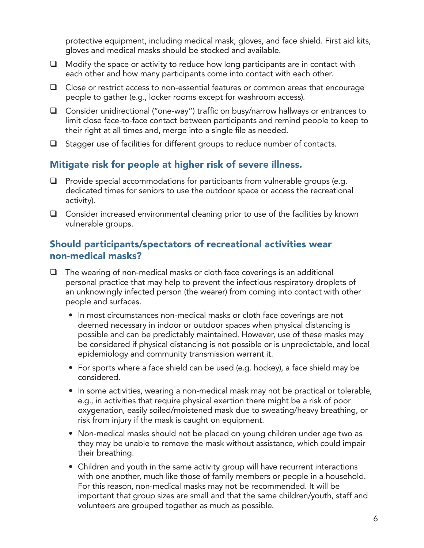protective equipment, including medical mask, gloves, and face shield. First aid kits, gloves and medical masks should be stocked and available.

- $\Box$  Modify the space or activity to reduce how long participants are in contact with each other and how many participants come into contact with each other.
- $\Box$  Close or restrict access to non-essential features or common areas that encourage people to gather (e.g., locker rooms except for washroom access).
- Consider unidirectional ("one-way") traffic on busy/narrow hallways or entrances to limit close face-to-face contact between participants and remind people to keep to their right at all times and, merge into a single file as needed.
- $\Box$  Stagger use of facilities for different groups to reduce number of contacts.

### Mitigate risk for people at higher risk of severe illness.

- $\Box$  Provide special accommodations for participants from vulnerable groups (e.g. dedicated times for seniors to use the outdoor space or access the recreational activity).
- $\Box$  Consider increased environmental cleaning prior to use of the facilities by known vulnerable groups.

#### Should participants/spectators of recreational activities wear non-medical masks?

- $\Box$  The wearing of non-medical masks or cloth face coverings is an additional personal practice that may help to prevent the infectious respiratory droplets of an unknowingly infected person (the wearer) from coming into contact with other people and surfaces.
	- In most circumstances non-medical masks or cloth face coverings are not deemed necessary in indoor or outdoor spaces when physical distancing is possible and can be predictably maintained. However, use of these masks may be considered if physical distancing is not possible or is unpredictable, and local epidemiology and community transmission warrant it.
	- For sports where a face shield can be used (e.g. hockey), a face shield may be considered.
	- In some activities, wearing a non-medical mask may not be practical or tolerable, e.g., in activities that require physical exertion there might be a risk of poor oxygenation, easily soiled/moistened mask due to sweating/heavy breathing, or risk from injury if the mask is caught on equipment.
	- Non-medical masks should not be placed on young children under age two as they may be unable to remove the mask without assistance, which could impair their breathing.
	- Children and youth in the same activity group will have recurrent interactions with one another, much like those of family members or people in a household. For this reason, non-medical masks may not be recommended. It will be important that group sizes are small and that the same children/youth, staff and volunteers are grouped together as much as possible.